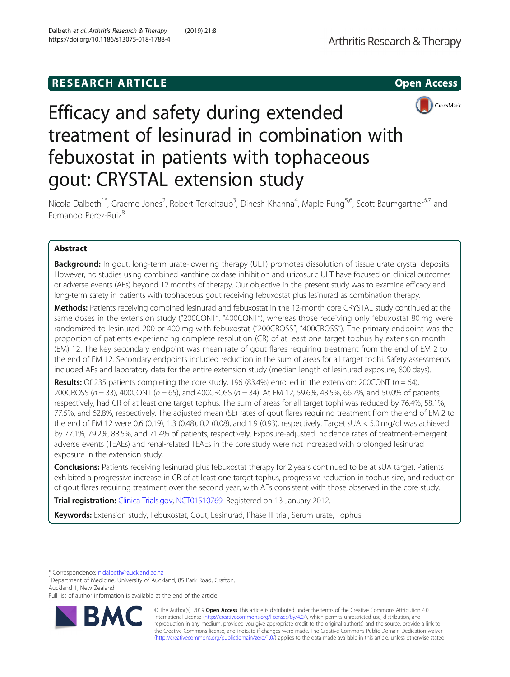# **RESEARCH ARTICLE Example 2014 12:30 The SEAR CH ACCESS**





# Efficacy and safety during extended treatment of lesinurad in combination with febuxostat in patients with tophaceous gout: CRYSTAL extension study

Nicola Dalbeth<sup>1\*</sup>, Graeme Jones<sup>2</sup>, Robert Terkeltaub<sup>3</sup>, Dinesh Khanna<sup>4</sup>, Maple Fung<sup>5,6</sup>, Scott Baumgartner<sup>6,7</sup> and Fernando Perez-Ruiz<sup>8</sup>

# Abstract

Background: In gout, long-term urate-lowering therapy (ULT) promotes dissolution of tissue urate crystal deposits. However, no studies using combined xanthine oxidase inhibition and uricosuric ULT have focused on clinical outcomes or adverse events (AEs) beyond 12 months of therapy. Our objective in the present study was to examine efficacy and long-term safety in patients with tophaceous gout receiving febuxostat plus lesinurad as combination therapy.

Methods: Patients receiving combined lesinurad and febuxostat in the 12-month core CRYSTAL study continued at the same doses in the extension study ("200CONT", "400CONT"), whereas those receiving only febuxostat 80 mg were randomized to lesinurad 200 or 400 mg with febuxostat ("200CROSS", "400CROSS"). The primary endpoint was the proportion of patients experiencing complete resolution (CR) of at least one target tophus by extension month (EM) 12. The key secondary endpoint was mean rate of gout flares requiring treatment from the end of EM 2 to the end of EM 12. Secondary endpoints included reduction in the sum of areas for all target tophi. Safety assessments included AEs and laboratory data for the entire extension study (median length of lesinurad exposure, 800 days).

**Results:** Of 235 patients completing the core study, 196 (83.4%) enrolled in the extension: 200CONT ( $n = 64$ ), 200CROSS ( $n = 33$ ), 400CONT ( $n = 65$ ), and 400CROSS ( $n = 34$ ). At EM 12, 59.6%, 43.5%, 66.7%, and 50.0% of patients, respectively, had CR of at least one target tophus. The sum of areas for all target tophi was reduced by 76.4%, 58.1%, 77.5%, and 62.8%, respectively. The adjusted mean (SE) rates of gout flares requiring treatment from the end of EM 2 to the end of EM 12 were 0.6 (0.19), 1.3 (0.48), 0.2 (0.08), and 1.9 (0.93), respectively. Target sUA < 5.0 mg/dl was achieved by 77.1%, 79.2%, 88.5%, and 71.4% of patients, respectively. Exposure-adjusted incidence rates of treatment-emergent adverse events (TEAEs) and renal-related TEAEs in the core study were not increased with prolonged lesinurad exposure in the extension study.

**Conclusions:** Patients receiving lesinurad plus febuxostat therapy for 2 years continued to be at sUA target. Patients exhibited a progressive increase in CR of at least one target tophus, progressive reduction in tophus size, and reduction of gout flares requiring treatment over the second year, with AEs consistent with those observed in the core study.

**Trial registration:** [ClinicalTrials.gov,](http://clinicaltrials.gov) [NCT01510769.](https://clinicaltrials.gov/ct2/show/NCT01510769?term=NCT01510769&rank=1) Registered on 13 January 2012.

Keywords: Extension study, Febuxostat, Gout, Lesinurad, Phase III trial, Serum urate, Tophus

\* Correspondence: [n.dalbeth@auckland.ac.nz](mailto:n.dalbeth@auckland.ac.nz) <sup>1</sup>

<sup>1</sup>Department of Medicine, University of Auckland, 85 Park Road, Grafton, Auckland 1, New Zealand

Full list of author information is available at the end of the article



© The Author(s). 2019 **Open Access** This article is distributed under the terms of the Creative Commons Attribution 4.0 International License [\(http://creativecommons.org/licenses/by/4.0/](http://creativecommons.org/licenses/by/4.0/)), which permits unrestricted use, distribution, and reproduction in any medium, provided you give appropriate credit to the original author(s) and the source, provide a link to the Creative Commons license, and indicate if changes were made. The Creative Commons Public Domain Dedication waiver [\(http://creativecommons.org/publicdomain/zero/1.0/](http://creativecommons.org/publicdomain/zero/1.0/)) applies to the data made available in this article, unless otherwise stated.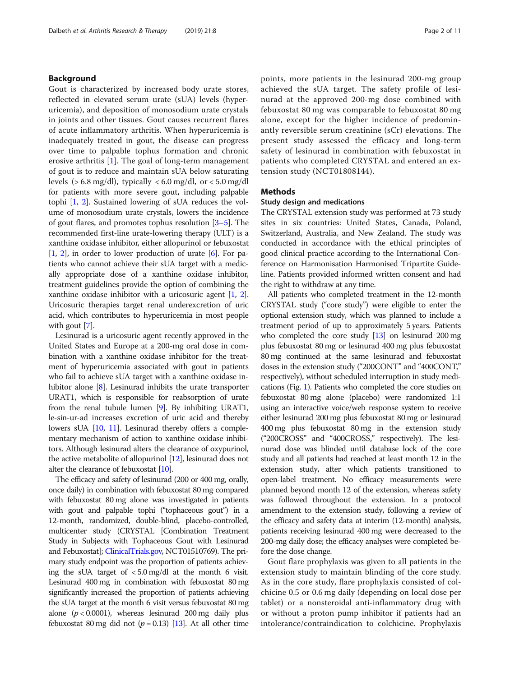# Background

Gout is characterized by increased body urate stores, reflected in elevated serum urate (sUA) levels (hyperuricemia), and deposition of monosodium urate crystals in joints and other tissues. Gout causes recurrent flares of acute inflammatory arthritis. When hyperuricemia is inadequately treated in gout, the disease can progress over time to palpable tophus formation and chronic erosive arthritis [\[1](#page-10-0)]. The goal of long-term management of gout is to reduce and maintain sUA below saturating levels ( $> 6.8$  mg/dl), typically  $< 6.0$  mg/dl, or  $< 5.0$  mg/dl for patients with more severe gout, including palpable tophi [[1,](#page-10-0) [2](#page-10-0)]. Sustained lowering of sUA reduces the volume of monosodium urate crystals, lowers the incidence of gout flares, and promotes tophus resolution [[3](#page-10-0)–[5](#page-10-0)]. The recommended first-line urate-lowering therapy (ULT) is a xanthine oxidase inhibitor, either allopurinol or febuxostat  $[1, 2]$  $[1, 2]$  $[1, 2]$  $[1, 2]$  $[1, 2]$ , in order to lower production of urate  $[6]$  $[6]$ . For patients who cannot achieve their sUA target with a medically appropriate dose of a xanthine oxidase inhibitor, treatment guidelines provide the option of combining the xanthine oxidase inhibitor with a uricosuric agent [[1,](#page-10-0) [2](#page-10-0)]. Uricosuric therapies target renal underexcretion of uric acid, which contributes to hyperuricemia in most people with gout [[7](#page-10-0)].

Lesinurad is a uricosuric agent recently approved in the United States and Europe at a 200-mg oral dose in combination with a xanthine oxidase inhibitor for the treatment of hyperuricemia associated with gout in patients who fail to achieve sUA target with a xanthine oxidase in-hibitor alone [\[8](#page-10-0)]. Lesinurad inhibits the urate transporter URAT1, which is responsible for reabsorption of urate from the renal tubule lumen [[9](#page-10-0)]. By inhibiting URAT1, le-sin-ur-ad increases excretion of uric acid and thereby lowers sUA [\[10,](#page-10-0) [11\]](#page-10-0). Lesinurad thereby offers a complementary mechanism of action to xanthine oxidase inhibitors. Although lesinurad alters the clearance of oxypurinol, the active metabolite of allopurinol [\[12\]](#page-10-0), lesinurad does not alter the clearance of febuxostat [\[10](#page-10-0)].

The efficacy and safety of lesinurad (200 or 400 mg, orally, once daily) in combination with febuxostat 80 mg compared with febuxostat 80 mg alone was investigated in patients with gout and palpable tophi ("tophaceous gout") in a 12-month, randomized, double-blind, placebo-controlled, multicenter study (CRYSTAL [Combination Treatment Study in Subjects with Tophaceous Gout with Lesinurad and Febuxostat]; [ClinicalTrials.gov,](http://clinicaltrials.gov) NCT01510769). The primary study endpoint was the proportion of patients achieving the sUA target of < 5.0 mg/dl at the month 6 visit. Lesinurad 400 mg in combination with febuxostat 80 mg significantly increased the proportion of patients achieving the sUA target at the month 6 visit versus febuxostat 80 mg alone ( $p < 0.0001$ ), whereas lesinurad 200 mg daily plus febuxostat 80 mg did not  $(p = 0.13)$  [\[13](#page-10-0)]. At all other time points, more patients in the lesinurad 200-mg group achieved the sUA target. The safety profile of lesinurad at the approved 200-mg dose combined with febuxostat 80 mg was comparable to febuxostat 80 mg alone, except for the higher incidence of predominantly reversible serum creatinine (sCr) elevations. The present study assessed the efficacy and long-term safety of lesinurad in combination with febuxostat in patients who completed CRYSTAL and entered an extension study (NCT01808144).

# Methods

#### Study design and medications

The CRYSTAL extension study was performed at 73 study sites in six countries: United States, Canada, Poland, Switzerland, Australia, and New Zealand. The study was conducted in accordance with the ethical principles of good clinical practice according to the International Conference on Harmonisation Harmonised Tripartite Guideline. Patients provided informed written consent and had the right to withdraw at any time.

All patients who completed treatment in the 12-month CRYSTAL study ("core study") were eligible to enter the optional extension study, which was planned to include a treatment period of up to approximately 5 years. Patients who completed the core study [\[13\]](#page-10-0) on lesinurad 200 mg plus febuxostat 80 mg or lesinurad 400 mg plus febuxostat 80 mg continued at the same lesinurad and febuxostat doses in the extension study ("200CONT" and "400CONT," respectively), without scheduled interruption in study medications (Fig. [1](#page-2-0)). Patients who completed the core studies on febuxostat 80 mg alone (placebo) were randomized 1:1 using an interactive voice/web response system to receive either lesinurad 200 mg plus febuxostat 80 mg or lesinurad 400 mg plus febuxostat 80 mg in the extension study ("200CROSS" and "400CROSS," respectively). The lesinurad dose was blinded until database lock of the core study and all patients had reached at least month 12 in the extension study, after which patients transitioned to open-label treatment. No efficacy measurements were planned beyond month 12 of the extension, whereas safety was followed throughout the extension. In a protocol amendment to the extension study, following a review of the efficacy and safety data at interim (12-month) analysis, patients receiving lesinurad 400 mg were decreased to the 200-mg daily dose; the efficacy analyses were completed before the dose change.

Gout flare prophylaxis was given to all patients in the extension study to maintain blinding of the core study. As in the core study, flare prophylaxis consisted of colchicine 0.5 or 0.6 mg daily (depending on local dose per tablet) or a nonsteroidal anti-inflammatory drug with or without a proton pump inhibitor if patients had an intolerance/contraindication to colchicine. Prophylaxis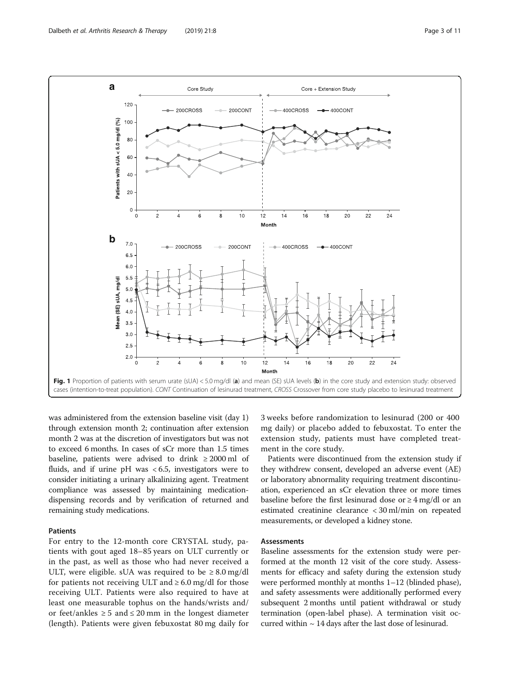<span id="page-2-0"></span>

was administered from the extension baseline visit (day 1) through extension month 2; continuation after extension month 2 was at the discretion of investigators but was not to exceed 6 months. In cases of sCr more than 1.5 times baseline, patients were advised to drink  $\geq 2000$  ml of fluids, and if urine pH was  $< 6.5$ , investigators were to consider initiating a urinary alkalinizing agent. Treatment compliance was assessed by maintaining medicationdispensing records and by verification of returned and remaining study medications.

# Patients

For entry to the 12-month core CRYSTAL study, patients with gout aged 18–85 years on ULT currently or in the past, as well as those who had never received a ULT, were eligible. sUA was required to be  $\geq 8.0$  mg/dl for patients not receiving ULT and  $\geq 6.0$  mg/dl for those receiving ULT. Patients were also required to have at least one measurable tophus on the hands/wrists and/ or feet/ankles  $\geq 5$  and  $\leq 20$  mm in the longest diameter (length). Patients were given febuxostat 80 mg daily for 3 weeks before randomization to lesinurad (200 or 400 mg daily) or placebo added to febuxostat. To enter the extension study, patients must have completed treatment in the core study.

Patients were discontinued from the extension study if they withdrew consent, developed an adverse event (AE) or laboratory abnormality requiring treatment discontinuation, experienced an sCr elevation three or more times baseline before the first lesinurad dose or  $\geq 4$  mg/dl or an estimated creatinine clearance < 30 ml/min on repeated measurements, or developed a kidney stone.

# Assessments

Baseline assessments for the extension study were performed at the month 12 visit of the core study. Assessments for efficacy and safety during the extension study were performed monthly at months 1–12 (blinded phase), and safety assessments were additionally performed every subsequent 2 months until patient withdrawal or study termination (open-label phase). A termination visit occurred within  $\sim$  14 days after the last dose of lesinurad.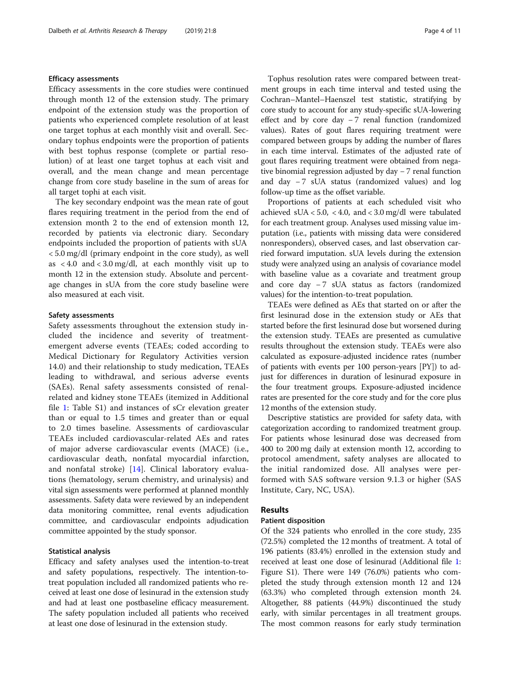## Efficacy assessments

Efficacy assessments in the core studies were continued through month 12 of the extension study. The primary endpoint of the extension study was the proportion of patients who experienced complete resolution of at least one target tophus at each monthly visit and overall. Secondary tophus endpoints were the proportion of patients with best tophus response (complete or partial resolution) of at least one target tophus at each visit and overall, and the mean change and mean percentage change from core study baseline in the sum of areas for all target tophi at each visit.

The key secondary endpoint was the mean rate of gout flares requiring treatment in the period from the end of extension month 2 to the end of extension month 12, recorded by patients via electronic diary. Secondary endpoints included the proportion of patients with sUA < 5.0 mg/dl (primary endpoint in the core study), as well as  $\langle 4.0 \text{ and } \langle 3.0 \text{ mg/dl} \rangle$ , at each monthly visit up to month 12 in the extension study. Absolute and percentage changes in sUA from the core study baseline were also measured at each visit.

#### Safety assessments

Safety assessments throughout the extension study included the incidence and severity of treatmentemergent adverse events (TEAEs; coded according to Medical Dictionary for Regulatory Activities version 14.0) and their relationship to study medication, TEAEs leading to withdrawal, and serious adverse events (SAEs). Renal safety assessments consisted of renalrelated and kidney stone TEAEs (itemized in Additional file [1](#page-9-0): Table S1) and instances of sCr elevation greater than or equal to 1.5 times and greater than or equal to 2.0 times baseline. Assessments of cardiovascular TEAEs included cardiovascular-related AEs and rates of major adverse cardiovascular events (MACE) (i.e., cardiovascular death, nonfatal myocardial infarction, and nonfatal stroke) [[14\]](#page-10-0). Clinical laboratory evaluations (hematology, serum chemistry, and urinalysis) and vital sign assessments were performed at planned monthly assessments. Safety data were reviewed by an independent data monitoring committee, renal events adjudication committee, and cardiovascular endpoints adjudication committee appointed by the study sponsor.

#### Statistical analysis

Efficacy and safety analyses used the intention-to-treat and safety populations, respectively. The intention-totreat population included all randomized patients who received at least one dose of lesinurad in the extension study and had at least one postbaseline efficacy measurement. The safety population included all patients who received at least one dose of lesinurad in the extension study.

Tophus resolution rates were compared between treatment groups in each time interval and tested using the Cochran–Mantel–Haenszel test statistic, stratifying by core study to account for any study-specific sUA-lowering effect and by core day − 7 renal function (randomized values). Rates of gout flares requiring treatment were compared between groups by adding the number of flares in each time interval. Estimates of the adjusted rate of gout flares requiring treatment were obtained from negative binomial regression adjusted by day − 7 renal function and day − 7 sUA status (randomized values) and log follow-up time as the offset variable.

Proportions of patients at each scheduled visit who achieved sUA < 5.0, < 4.0, and < 3.0 mg/dl were tabulated for each treatment group. Analyses used missing value imputation (i.e., patients with missing data were considered nonresponders), observed cases, and last observation carried forward imputation. sUA levels during the extension study were analyzed using an analysis of covariance model with baseline value as a covariate and treatment group and core day − 7 sUA status as factors (randomized values) for the intention-to-treat population.

TEAEs were defined as AEs that started on or after the first lesinurad dose in the extension study or AEs that started before the first lesinurad dose but worsened during the extension study. TEAEs are presented as cumulative results throughout the extension study. TEAEs were also calculated as exposure-adjusted incidence rates (number of patients with events per 100 person-years [PY]) to adjust for differences in duration of lesinurad exposure in the four treatment groups. Exposure-adjusted incidence rates are presented for the core study and for the core plus 12 months of the extension study.

Descriptive statistics are provided for safety data, with categorization according to randomized treatment group. For patients whose lesinurad dose was decreased from 400 to 200 mg daily at extension month 12, according to protocol amendment, safety analyses are allocated to the initial randomized dose. All analyses were performed with SAS software version 9.1.3 or higher (SAS Institute, Cary, NC, USA).

# Results

# Patient disposition

Of the 324 patients who enrolled in the core study, 235 (72.5%) completed the 12 months of treatment. A total of 196 patients (83.4%) enrolled in the extension study and received at least one dose of lesinurad (Additional file [1](#page-9-0): Figure S1). There were 149 (76.0%) patients who completed the study through extension month 12 and 124 (63.3%) who completed through extension month 24. Altogether, 88 patients (44.9%) discontinued the study early, with similar percentages in all treatment groups. The most common reasons for early study termination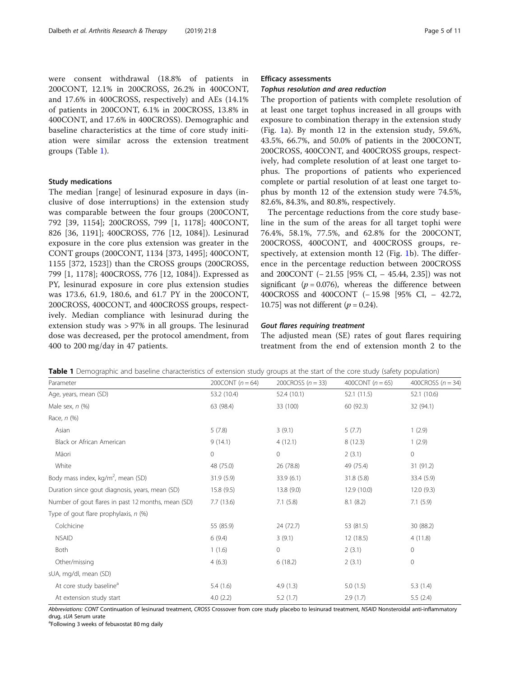were consent withdrawal (18.8% of patients in 200CONT, 12.1% in 200CROSS, 26.2% in 400CONT, and 17.6% in 400CROSS, respectively) and AEs (14.1% of patients in 200CONT, 6.1% in 200CROSS, 13.8% in 400CONT, and 17.6% in 400CROSS). Demographic and baseline characteristics at the time of core study initiation were similar across the extension treatment groups (Table 1).

## Study medications

The median [range] of lesinurad exposure in days (inclusive of dose interruptions) in the extension study was comparable between the four groups (200CONT, 792 [39, 1154]; 200CROSS, 799 [1, 1178]; 400CONT, 826 [36, 1191]; 400CROSS, 776 [12, 1084]). Lesinurad exposure in the core plus extension was greater in the CONT groups (200CONT, 1134 [373, 1495]; 400CONT, 1155 [372, 1523]) than the CROSS groups (200CROSS, 799 [1, 1178]; 400CROSS, 776 [12, 1084]). Expressed as PY, lesinurad exposure in core plus extension studies was 173.6, 61.9, 180.6, and 61.7 PY in the 200CONT, 200CROSS, 400CONT, and 400CROSS groups, respectively. Median compliance with lesinurad during the extension study was > 97% in all groups. The lesinurad dose was decreased, per the protocol amendment, from 400 to 200 mg/day in 47 patients.

# Efficacy assessments

#### Tophus resolution and area reduction

The proportion of patients with complete resolution of at least one target tophus increased in all groups with exposure to combination therapy in the extension study (Fig. [1](#page-2-0)a). By month 12 in the extension study, 59.6%, 43.5%, 66.7%, and 50.0% of patients in the 200CONT, 200CROSS, 400CONT, and 400CROSS groups, respectively, had complete resolution of at least one target tophus. The proportions of patients who experienced complete or partial resolution of at least one target tophus by month 12 of the extension study were 74.5%, 82.6%, 84.3%, and 80.8%, respectively.

The percentage reductions from the core study baseline in the sum of the areas for all target tophi were 76.4%, 58.1%, 77.5%, and 62.8% for the 200CONT, 200CROSS, 400CONT, and 400CROSS groups, respectively, at extension month 12 (Fig. [1](#page-2-0)b). The difference in the percentage reduction between 200CROSS and 200CONT (− 21.55 [95% CI, – 45.44, 2.35]) was not significant ( $p = 0.076$ ), whereas the difference between 400CROSS and 400CONT (− 15.98 [95% CI, – 42.72, 10.75] was not different  $(p = 0.24)$ .

# Gout flares requiring treatment

The adjusted mean (SE) rates of gout flares requiring treatment from the end of extension month 2 to the

| Parameter                                          | 200CONT $(n = 64)$ | 200CROSS $(n = 33)$ | 400CONT $(n = 65)$ | 400CROSS $(n = 34)$ |
|----------------------------------------------------|--------------------|---------------------|--------------------|---------------------|
| Age, years, mean (SD)                              | 53.2 (10.4)        | 52.4(10.1)          | 52.1(11.5)         | 52.1 (10.6)         |
| Male sex, $n$ $(\%)$                               | 63 (98.4)          | 33 (100)            | 60 (92.3)          | 32 (94.1)           |
| Race, n (%)                                        |                    |                     |                    |                     |
| Asian                                              | 5(7.8)             | 3(9.1)              | 5(7.7)             | 1(2.9)              |
| Black or African American                          | 9(14.1)            | 4(12.1)             | 8(12.3)            | 1(2.9)              |
| Māori                                              | $\circ$            | $\mathbf{0}$        | 2(3.1)             | 0                   |
| White                                              | 48 (75.0)          | 26 (78.8)           | 49 (75.4)          | 31 (91.2)           |
| Body mass index, kg/m <sup>2</sup> , mean (SD)     | 31.9(5.9)          | 33.9(6.1)           | 31.8(5.8)          | 33.4 (5.9)          |
| Duration since gout diagnosis, years, mean (SD)    | 15.8(9.5)          | 13.8(9.0)           | 12.9(10.0)         | 12.0(9.3)           |
| Number of gout flares in past 12 months, mean (SD) | 7.7(13.6)          | 7.1(5.8)            | 8.1(8.2)           | 7.1(5.9)            |
| Type of gout flare prophylaxis, n (%)              |                    |                     |                    |                     |
| Colchicine                                         | 55 (85.9)          | 24 (72.7)           | 53 (81.5)          | 30 (88.2)           |
| <b>NSAID</b>                                       | 6(9.4)             | 3(9.1)              | 12(18.5)           | 4(11.8)             |
| Both                                               | 1(1.6)             | $\circ$             | 2(3.1)             | 0                   |
| Other/missing                                      | 4(6.3)             | 6(18.2)             | 2(3.1)             | 0                   |
| sUA, mg/dl, mean (SD)                              |                    |                     |                    |                     |
| At core study baseline <sup>a</sup>                | 5.4(1.6)           | 4.9(1.3)            | 5.0(1.5)           | 5.3(1.4)            |
| At extension study start                           | 4.0(2.2)           | 5.2(1.7)            | 2.9(1.7)           | 5.5(2.4)            |

Table 1 Demographic and baseline characteristics of extension study groups at the start of the core study (safety population)

Abbreviations: CONT Continuation of lesinurad treatment, CROSS Crossover from core study placebo to lesinurad treatment, NSAID Nonsteroidal anti-inflammatory drug, sUA Serum urate

<sup>a</sup>Following 3 weeks of febuxostat 80 mg daily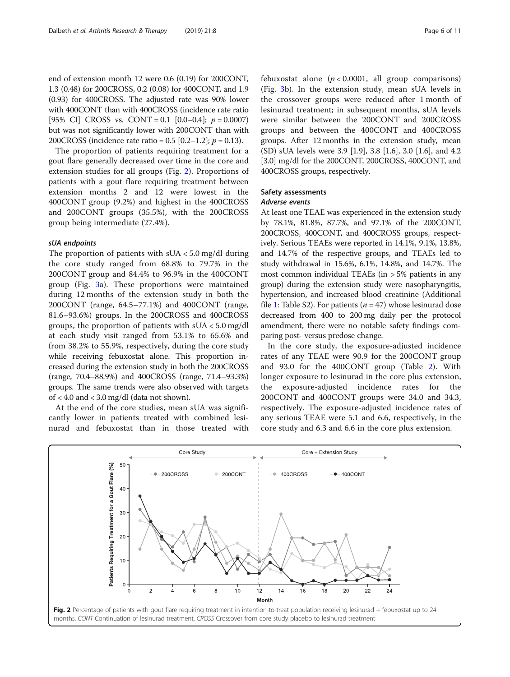end of extension month 12 were 0.6 (0.19) for 200CONT, 1.3 (0.48) for 200CROSS, 0.2 (0.08) for 400CONT, and 1.9 (0.93) for 400CROSS. The adjusted rate was 90% lower with 400CONT than with 400CROSS (incidence rate ratio [95% CI] CROSS vs. CONT = 0.1  $[0.0-0.4]$ ;  $p = 0.0007$ ) but was not significantly lower with 200CONT than with 200CROSS (incidence rate ratio =  $0.5$  [0.2–1.2];  $p = 0.13$ ).

The proportion of patients requiring treatment for a gout flare generally decreased over time in the core and extension studies for all groups (Fig. 2). Proportions of patients with a gout flare requiring treatment between extension months 2 and 12 were lowest in the 400CONT group (9.2%) and highest in the 400CROSS and 200CONT groups (35.5%), with the 200CROSS group being intermediate (27.4%).

# sUA endpoints

The proportion of patients with  $sUA < 5.0$  mg/dl during the core study ranged from 68.8% to 79.7% in the 200CONT group and 84.4% to 96.9% in the 400CONT group (Fig. [3](#page-6-0)a). These proportions were maintained during 12 months of the extension study in both the 200CONT (range, 64.5–77.1%) and 400CONT (range, 81.6–93.6%) groups. In the 200CROSS and 400CROSS groups, the proportion of patients with sUA < 5.0 mg/dl at each study visit ranged from 53.1% to 65.6% and from 38.2% to 55.9%, respectively, during the core study while receiving febuxostat alone. This proportion increased during the extension study in both the 200CROSS (range, 70.4–88.9%) and 400CROSS (range, 71.4–93.3%) groups. The same trends were also observed with targets of  $< 4.0$  and  $< 3.0$  mg/dl (data not shown).

At the end of the core studies, mean sUA was significantly lower in patients treated with combined lesinurad and febuxostat than in those treated with febuxostat alone  $(p < 0.0001,$  all group comparisons) (Fig. [3b](#page-6-0)). In the extension study, mean sUA levels in the crossover groups were reduced after 1 month of lesinurad treatment; in subsequent months, sUA levels were similar between the 200CONT and 200CROSS groups and between the 400CONT and 400CROSS groups. After 12 months in the extension study, mean (SD) sUA levels were 3.9 [1.9], 3.8 [1.6], 3.0 [1.6], and 4.2 [3.0] mg/dl for the 200CONT, 200CROSS, 400CONT, and

# Safety assessments

400CROSS groups, respectively.

#### Adverse events

At least one TEAE was experienced in the extension study by 78.1%, 81.8%, 87.7%, and 97.1% of the 200CONT, 200CROSS, 400CONT, and 400CROSS groups, respectively. Serious TEAEs were reported in 14.1%, 9.1%, 13.8%, and 14.7% of the respective groups, and TEAEs led to study withdrawal in 15.6%, 6.1%, 14.8%, and 14.7%. The most common individual TEAEs (in > 5% patients in any group) during the extension study were nasopharyngitis, hypertension, and increased blood creatinine (Additional file [1](#page-9-0): Table S2). For patients ( $n = 47$ ) whose lesinurad dose decreased from 400 to 200 mg daily per the protocol amendment, there were no notable safety findings comparing post- versus predose change.

In the core study, the exposure-adjusted incidence rates of any TEAE were 90.9 for the 200CONT group and 93.0 for the 400CONT group (Table [2](#page-7-0)). With longer exposure to lesinurad in the core plus extension, the exposure-adjusted incidence rates for the 200CONT and 400CONT groups were 34.0 and 34.3, respectively. The exposure-adjusted incidence rates of any serious TEAE were 5.1 and 6.6, respectively, in the core study and 6.3 and 6.6 in the core plus extension.

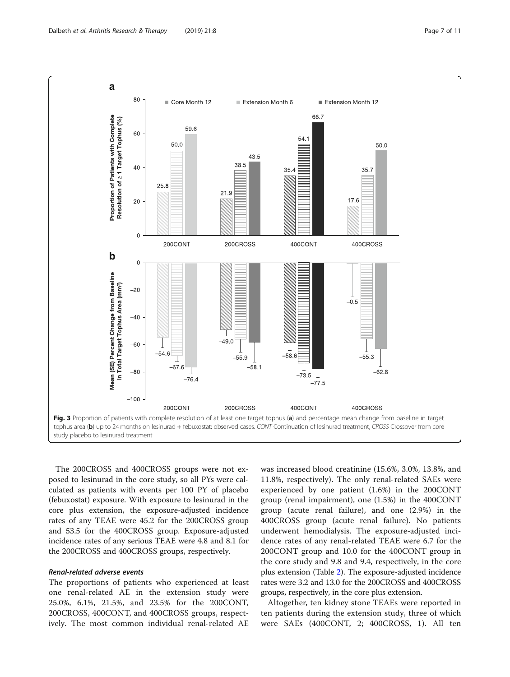<span id="page-6-0"></span>

The 200CROSS and 400CROSS groups were not exposed to lesinurad in the core study, so all PYs were calculated as patients with events per 100 PY of placebo (febuxostat) exposure. With exposure to lesinurad in the core plus extension, the exposure-adjusted incidence rates of any TEAE were 45.2 for the 200CROSS group and 53.5 for the 400CROSS group. Exposure-adjusted incidence rates of any serious TEAE were 4.8 and 8.1 for the 200CROSS and 400CROSS groups, respectively.

# Renal-related adverse events

The proportions of patients who experienced at least one renal-related AE in the extension study were 25.0%, 6.1%, 21.5%, and 23.5% for the 200CONT, 200CROSS, 400CONT, and 400CROSS groups, respectively. The most common individual renal-related AE was increased blood creatinine (15.6%, 3.0%, 13.8%, and 11.8%, respectively). The only renal-related SAEs were experienced by one patient (1.6%) in the 200CONT group (renal impairment), one (1.5%) in the 400CONT group (acute renal failure), and one (2.9%) in the 400CROSS group (acute renal failure). No patients underwent hemodialysis. The exposure-adjusted incidence rates of any renal-related TEAE were 6.7 for the 200CONT group and 10.0 for the 400CONT group in the core study and 9.8 and 9.4, respectively, in the core plus extension (Table [2\)](#page-7-0). The exposure-adjusted incidence rates were 3.2 and 13.0 for the 200CROSS and 400CROSS groups, respectively, in the core plus extension.

Altogether, ten kidney stone TEAEs were reported in ten patients during the extension study, three of which were SAEs (400CONT, 2; 400CROSS, 1). All ten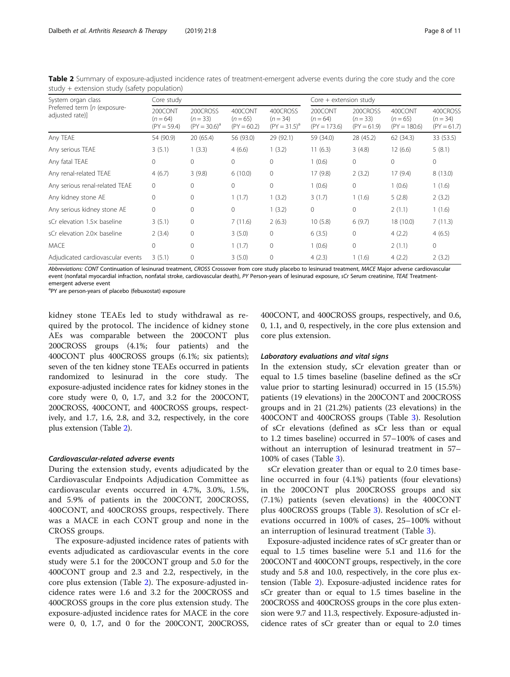| System organ class                              | Core study                                                                          |                                        |                                             | $Core + extension study$                |                                         |                                         |                                         |           |
|-------------------------------------------------|-------------------------------------------------------------------------------------|----------------------------------------|---------------------------------------------|-----------------------------------------|-----------------------------------------|-----------------------------------------|-----------------------------------------|-----------|
| Preferred term [n (exposure-<br>adjusted rate)] | 200CROSS<br>200CONT<br>$(n = 33)$<br>$(n = 64)$<br>$(PY = 59.4)$<br>$(PY = 30.6)^a$ | 400CONT<br>$(n = 65)$<br>$(PY = 60.2)$ | 400CROSS<br>$(n = 34)$<br>$(PY = 31.5)^{a}$ | 200CONT<br>$(n = 64)$<br>$(PY = 173.6)$ | 200CROSS<br>$(n = 33)$<br>$(PY = 61.9)$ | 400CONT<br>$(n = 65)$<br>$(PY = 180.6)$ | 400CROSS<br>$(n = 34)$<br>$(PY = 61.7)$ |           |
| Any TEAE                                        | 54 (90.9)                                                                           | 20(65.4)                               | 56 (93.0)                                   | 29 (92.1)                               | 59 (34.0)                               | 28 (45.2)                               | 62(34.3)                                | 33 (53.5) |
| Any serious TEAE                                | 3(5.1)                                                                              | 1(3.3)                                 | 4(6.6)                                      | 1(3.2)                                  | 11(6.3)                                 | 3(4.8)                                  | 12(6.6)                                 | 5(8.1)    |
| Any fatal TEAE                                  | 0                                                                                   | 0                                      | $\mathbf{0}$                                | $\mathbf{0}$                            | 1(0.6)                                  | $\circ$                                 | 0                                       | $\circ$   |
| Any renal-related TEAE                          | 4(6.7)                                                                              | 3(9.8)                                 | 6(10.0)                                     | $\mathbf 0$                             | 17(9.8)                                 | 2(3.2)                                  | 17(9.4)                                 | 8(13.0)   |
| Any serious renal-related TEAE                  | 0                                                                                   | $\Omega$                               | $\Omega$                                    | $\circ$                                 | 1(0.6)                                  | $\mathbf{0}$                            | 1(0.6)                                  | 1(1.6)    |
| Any kidney stone AE                             | 0                                                                                   | 0                                      | 1(1.7)                                      | 1(3.2)                                  | 3(1.7)                                  | 1(1.6)                                  | 5(2.8)                                  | 2(3.2)    |
| Any serious kidney stone AE                     | 0                                                                                   | 0                                      | $\mathbf{0}$                                | 1(3.2)                                  | $\circ$                                 | $\mathbf{0}$                            | 2(1.1)                                  | 1(1.6)    |
| sCr elevation 1.5x baseline                     | 3(5.1)                                                                              | $\mathbf{0}$                           | 7(11.6)                                     | 2(6.3)                                  | 10(5.8)                                 | 6(9.7)                                  | 18 (10.0)                               | 7(11.3)   |
| sCr elevation 2.0x baseline                     | 2(3.4)                                                                              | $\mathbf{0}$                           | 3(5.0)                                      | $\mathbf{0}$                            | 6(3.5)                                  | $\mathbf{0}$                            | 4(2.2)                                  | 4(6.5)    |
| <b>MACE</b>                                     | 0                                                                                   | 0                                      | 1(1.7)                                      | $\mathbf{0}$                            | 1(0.6)                                  | $\mathbf{0}$                            | 2(1.1)                                  | $\circ$   |
| Adjudicated cardiovascular events               | 3(5.1)                                                                              | $\mathbf{0}$                           | 3(5.0)                                      | $\mathbf{0}$                            | 4(2.3)                                  | 1(1.6)                                  | 4(2.2)                                  | 2(3.2)    |

<span id="page-7-0"></span>Table 2 Summary of exposure-adjusted incidence rates of treatment-emergent adverse events during the core study and the core study + extension study (safety population)

Abbreviations: CONT Continuation of lesinurad treatment, CROSS Crossover from core study placebo to lesinurad treatment, MACE Major adverse cardiovascular event (nonfatal myocardial infraction, nonfatal stroke, cardiovascular death), PY Person-years of lesinurad exposure, sCr Serum creatinine, TEAE Treatmentemergent adverse event

<sup>a</sup>PY are person-years of placebo (febuxostat) exposure

kidney stone TEAEs led to study withdrawal as required by the protocol. The incidence of kidney stone AEs was comparable between the 200CONT plus 200CROSS groups (4.1%; four patients) and the 400CONT plus 400CROSS groups (6.1%; six patients); seven of the ten kidney stone TEAEs occurred in patients randomized to lesinurad in the core study. The exposure-adjusted incidence rates for kidney stones in the core study were 0, 0, 1.7, and 3.2 for the 200CONT, 200CROSS, 400CONT, and 400CROSS groups, respectively, and 1.7, 1.6, 2.8, and 3.2, respectively, in the core plus extension (Table 2).

# Cardiovascular-related adverse events

During the extension study, events adjudicated by the Cardiovascular Endpoints Adjudication Committee as cardiovascular events occurred in 4.7%, 3.0%, 1.5%, and 5.9% of patients in the 200CONT, 200CROSS, 400CONT, and 400CROSS groups, respectively. There was a MACE in each CONT group and none in the CROSS groups.

The exposure-adjusted incidence rates of patients with events adjudicated as cardiovascular events in the core study were 5.1 for the 200CONT group and 5.0 for the 400CONT group and 2.3 and 2.2, respectively, in the core plus extension (Table 2). The exposure-adjusted incidence rates were 1.6 and 3.2 for the 200CROSS and 400CROSS groups in the core plus extension study. The exposure-adjusted incidence rates for MACE in the core were 0, 0, 1.7, and 0 for the 200CONT, 200CROSS,

400CONT, and 400CROSS groups, respectively, and 0.6, 0, 1.1, and 0, respectively, in the core plus extension and core plus extension.

# Laboratory evaluations and vital signs

In the extension study, sCr elevation greater than or equal to 1.5 times baseline (baseline defined as the sCr value prior to starting lesinurad) occurred in 15 (15.5%) patients (19 elevations) in the 200CONT and 200CROSS groups and in 21 (21.2%) patients (23 elevations) in the 400CONT and 400CROSS groups (Table [3\)](#page-8-0). Resolution of sCr elevations (defined as sCr less than or equal to 1.2 times baseline) occurred in 57–100% of cases and without an interruption of lesinurad treatment in 57– 100% of cases (Table [3](#page-8-0)).

sCr elevation greater than or equal to 2.0 times baseline occurred in four (4.1%) patients (four elevations) in the 200CONT plus 200CROSS groups and six (7.1%) patients (seven elevations) in the 400CONT plus 400CROSS groups (Table [3](#page-8-0)). Resolution of sCr elevations occurred in 100% of cases, 25–100% without an interruption of lesinurad treatment (Table [3\)](#page-8-0).

Exposure-adjusted incidence rates of sCr greater than or equal to 1.5 times baseline were 5.1 and 11.6 for the 200CONT and 400CONT groups, respectively, in the core study and 5.8 and 10.0, respectively, in the core plus extension (Table 2). Exposure-adjusted incidence rates for sCr greater than or equal to 1.5 times baseline in the 200CROSS and 400CROSS groups in the core plus extension were 9.7 and 11.3, respectively. Exposure-adjusted incidence rates of sCr greater than or equal to 2.0 times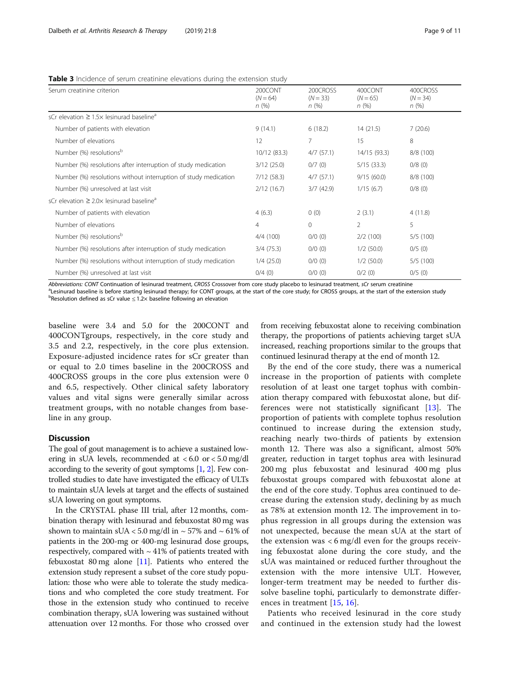<span id="page-8-0"></span>**Table 3** Incidence of serum creatinine elevations during the extension study

| Serum creatinine criterion                                        | 200CONT<br>$(N = 64)$<br>n(%) | 200CROSS<br>$(N = 33)$<br>n(%) | 400CONT<br>$(N = 65)$<br>n(%) | 400CROSS<br>$(N = 34)$<br>n(%) |
|-------------------------------------------------------------------|-------------------------------|--------------------------------|-------------------------------|--------------------------------|
| sCr elevation $\geq 1.5 \times$ lesinurad baseline <sup>a</sup>   |                               |                                |                               |                                |
| Number of patients with elevation                                 | 9(14.1)                       | 6(18.2)                        | 14(21.5)                      | 7(20.6)                        |
| Number of elevations                                              | 12                            | 7                              | 15                            | 8                              |
| Number (%) resolutions <sup>b</sup>                               | 10/12 (83.3)                  | 4/7(57.1)                      | 14/15 (93.3)                  | 8/8 (100)                      |
| Number (%) resolutions after interruption of study medication     | 3/12(25.0)                    | 0/7(0)                         | 5/15(33.3)                    | 0/8(0)                         |
| Number (%) resolutions without interruption of study medication   | 7/12(58.3)                    | 4/7(57.1)                      | 9/15(60.0)                    | 8/8 (100)                      |
| Number (%) unresolved at last visit                               | 2/12(16.7)                    | 3/7(42.9)                      | 1/15(6.7)                     | 0/8(0)                         |
| sCr elevation $\geq$ 2.0 $\times$ lesinurad baseline <sup>a</sup> |                               |                                |                               |                                |
| Number of patients with elevation                                 | 4(6.3)                        | 0(0)                           | 2(3.1)                        | 4(11.8)                        |
| Number of elevations                                              | $\overline{4}$                | $\mathbf{0}$                   | $\overline{2}$                | 5                              |
| Number (%) resolutions <sup>b</sup>                               | 4/4(100)                      | 0/0(0)                         | 2/2(100)                      | 5/5(100)                       |
| Number (%) resolutions after interruption of study medication     | 3/4(75.3)                     | 0/0(0)                         | 1/2(50.0)                     | 0/5(0)                         |
| Number (%) resolutions without interruption of study medication   | 1/4(25.0)                     | 0/0(0)                         | 1/2(50.0)                     | 5/5(100)                       |
| Number (%) unresolved at last visit                               | 0/4(0)                        | $0/0$ $(0)$                    | 0/2(0)                        | 0/5(0)                         |

Abbreviations: CONT Continuation of lesinurad treatment, CROSS Crossover from core study placebo to lesinurad treatment, sCr serum creatinine

<sup>a</sup>Lesinurad baseline is before starting lesinurad therapy; for CONT groups, at the start of the core study; for CROSS groups, at the start of the extension study  $B$ Resolution defined as sCr value  $\leq 1.2 \times$  baseline following an elevation

baseline were 3.4 and 5.0 for the 200CONT and 400CONTgroups, respectively, in the core study and 3.5 and 2.2, respectively, in the core plus extension. Exposure-adjusted incidence rates for sCr greater than or equal to 2.0 times baseline in the 200CROSS and 400CROSS groups in the core plus extension were 0 and 6.5, respectively. Other clinical safety laboratory values and vital signs were generally similar across treatment groups, with no notable changes from baseline in any group.

# **Discussion**

The goal of gout management is to achieve a sustained lowering in sUA levels, recommended at < 6.0 or < 5.0 mg/dl according to the severity of gout symptoms  $[1, 2]$  $[1, 2]$  $[1, 2]$  $[1, 2]$ . Few controlled studies to date have investigated the efficacy of ULTs to maintain sUA levels at target and the effects of sustained sUA lowering on gout symptoms.

In the CRYSTAL phase III trial, after 12 months, combination therapy with lesinurad and febuxostat 80 mg was shown to maintain sUA  $<$  5.0 mg/dl in  $\sim$  57% and  $\sim$  61% of patients in the 200-mg or 400-mg lesinurad dose groups, respectively, compared with  $\sim$  41% of patients treated with febuxostat 80 mg alone [[11](#page-10-0)]. Patients who entered the extension study represent a subset of the core study population: those who were able to tolerate the study medications and who completed the core study treatment. For those in the extension study who continued to receive combination therapy, sUA lowering was sustained without attenuation over 12 months. For those who crossed over

from receiving febuxostat alone to receiving combination therapy, the proportions of patients achieving target sUA increased, reaching proportions similar to the groups that continued lesinurad therapy at the end of month 12.

By the end of the core study, there was a numerical increase in the proportion of patients with complete resolution of at least one target tophus with combination therapy compared with febuxostat alone, but differences were not statistically significant [[13\]](#page-10-0). The proportion of patients with complete tophus resolution continued to increase during the extension study, reaching nearly two-thirds of patients by extension month 12. There was also a significant, almost 50% greater, reduction in target tophus area with lesinurad 200 mg plus febuxostat and lesinurad 400 mg plus febuxostat groups compared with febuxostat alone at the end of the core study. Tophus area continued to decrease during the extension study, declining by as much as 78% at extension month 12. The improvement in tophus regression in all groups during the extension was not unexpected, because the mean sUA at the start of the extension was  $< 6$  mg/dl even for the groups receiving febuxostat alone during the core study, and the sUA was maintained or reduced further throughout the extension with the more intensive ULT. However, longer-term treatment may be needed to further dissolve baseline tophi, particularly to demonstrate differ-ences in treatment [[15,](#page-10-0) [16\]](#page-10-0).

Patients who received lesinurad in the core study and continued in the extension study had the lowest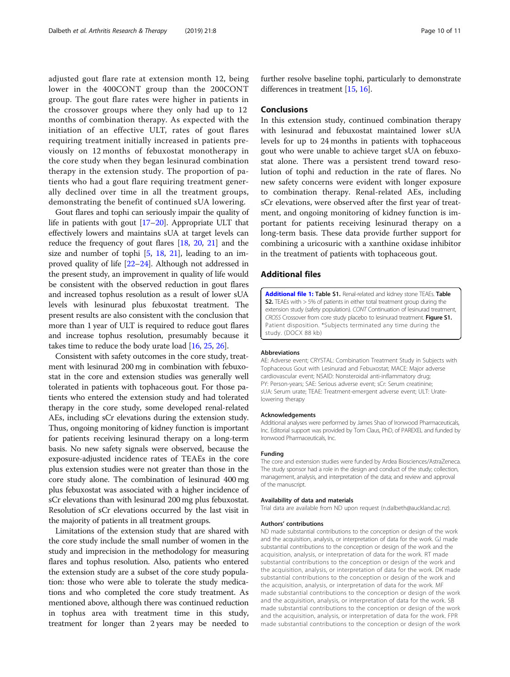<span id="page-9-0"></span>adjusted gout flare rate at extension month 12, being lower in the 400CONT group than the 200CONT group. The gout flare rates were higher in patients in the crossover groups where they only had up to 12 months of combination therapy. As expected with the initiation of an effective ULT, rates of gout flares requiring treatment initially increased in patients previously on 12 months of febuxostat monotherapy in the core study when they began lesinurad combination therapy in the extension study. The proportion of patients who had a gout flare requiring treatment generally declined over time in all the treatment groups, demonstrating the benefit of continued sUA lowering.

Gout flares and tophi can seriously impair the quality of life in patients with gout [\[17](#page-10-0)–[20](#page-10-0)]. Appropriate ULT that effectively lowers and maintains sUA at target levels can reduce the frequency of gout flares [\[18,](#page-10-0) [20,](#page-10-0) [21\]](#page-10-0) and the size and number of tophi  $[5, 18, 21]$  $[5, 18, 21]$  $[5, 18, 21]$  $[5, 18, 21]$  $[5, 18, 21]$ , leading to an improved quality of life [\[22](#page-10-0)–[24](#page-10-0)]. Although not addressed in the present study, an improvement in quality of life would be consistent with the observed reduction in gout flares and increased tophus resolution as a result of lower sUA levels with lesinurad plus febuxostat treatment. The present results are also consistent with the conclusion that more than 1 year of ULT is required to reduce gout flares and increase tophus resolution, presumably because it takes time to reduce the body urate load [[16](#page-10-0), [25,](#page-10-0) [26\]](#page-10-0).

Consistent with safety outcomes in the core study, treatment with lesinurad 200 mg in combination with febuxostat in the core and extension studies was generally well tolerated in patients with tophaceous gout. For those patients who entered the extension study and had tolerated therapy in the core study, some developed renal-related AEs, including sCr elevations during the extension study. Thus, ongoing monitoring of kidney function is important for patients receiving lesinurad therapy on a long-term basis. No new safety signals were observed, because the exposure-adjusted incidence rates of TEAEs in the core plus extension studies were not greater than those in the core study alone. The combination of lesinurad 400 mg plus febuxostat was associated with a higher incidence of sCr elevations than with lesinurad 200 mg plus febuxostat. Resolution of sCr elevations occurred by the last visit in the majority of patients in all treatment groups.

Limitations of the extension study that are shared with the core study include the small number of women in the study and imprecision in the methodology for measuring flares and tophus resolution. Also, patients who entered the extension study are a subset of the core study population: those who were able to tolerate the study medications and who completed the core study treatment. As mentioned above, although there was continued reduction in tophus area with treatment time in this study, treatment for longer than 2 years may be needed to further resolve baseline tophi, particularly to demonstrate differences in treatment [[15](#page-10-0), [16\]](#page-10-0).

## Conclusions

In this extension study, continued combination therapy with lesinurad and febuxostat maintained lower sUA levels for up to 24 months in patients with tophaceous gout who were unable to achieve target sUA on febuxostat alone. There was a persistent trend toward resolution of tophi and reduction in the rate of flares. No new safety concerns were evident with longer exposure to combination therapy. Renal-related AEs, including sCr elevations, were observed after the first year of treatment, and ongoing monitoring of kidney function is important for patients receiving lesinurad therapy on a long-term basis. These data provide further support for combining a uricosuric with a xanthine oxidase inhibitor in the treatment of patients with tophaceous gout.

# Additional files

[Additional file 1:](https://doi.org/10.1186/s13075-018-1788-4) Table S1. Renal-related and kidney stone TEAEs. Table S2. TEAEs with > 5% of patients in either total treatment group during the extension study (safety population). CONT Continuation of lesinurad treatment, CROSS Crossover from core study placebo to lesinurad treatment. Figure S1. Patient disposition. \*Subjects terminated any time during the study. (DOCX 88 kb)

#### **Abbreviations**

AE: Adverse event; CRYSTAL: Combination Treatment Study in Subjects with Tophaceous Gout with Lesinurad and Febuxostat; MACE: Major adverse cardiovascular event; NSAID: Nonsteroidal anti-inflammatory drug; PY: Person-years; SAE: Serious adverse event; sCr: Serum creatinine; sUA: Serum urate; TEAE: Treatment-emergent adverse event; ULT: Uratelowering therapy

#### Acknowledgements

Additional analyses were performed by James Shao of Ironwood Pharmaceuticals, Inc. Editorial support was provided by Tom Claus, PhD, of PAREXEL and funded by Ironwood Pharmaceuticals, Inc.

#### Funding

The core and extension studies were funded by Ardea Biosciences/AstraZeneca. The study sponsor had a role in the design and conduct of the study; collection, management, analysis, and interpretation of the data; and review and approval of the manuscript.

#### Availability of data and materials

Trial data are available from ND upon request (n.dalbeth@auckland.ac.nz).

#### Authors' contributions

ND made substantial contributions to the conception or design of the work and the acquisition, analysis, or interpretation of data for the work. GJ made substantial contributions to the conception or design of the work and the acquisition, analysis, or interpretation of data for the work. RT made substantial contributions to the conception or design of the work and the acquisition, analysis, or interpretation of data for the work. DK made substantial contributions to the conception or design of the work and the acquisition, analysis, or interpretation of data for the work. MF made substantial contributions to the conception or design of the work and the acquisition, analysis, or interpretation of data for the work. SB made substantial contributions to the conception or design of the work and the acquisition, analysis, or interpretation of data for the work. FPR made substantial contributions to the conception or design of the work